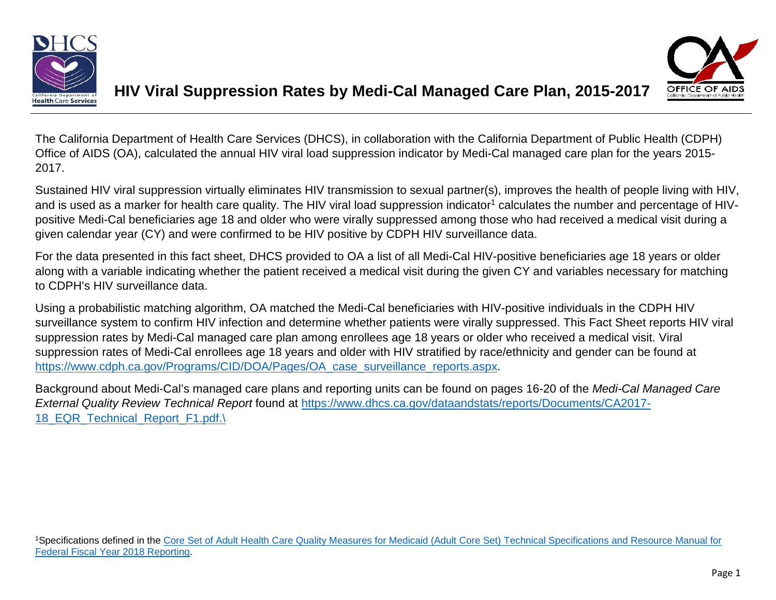



The California Department of Health Care Services (DHCS), in collaboration with the California Department of Public Health (CDPH) Office of AIDS (OA), calculated the annual HIV viral load suppression indicator by Medi-Cal managed care plan for the years 2015- 2017.

Sustained HIV viral suppression virtually eliminates HIV transmission to sexual partner(s), improves the health of people living with HIV, and is used as a marker for health care quality. The HIV viral load suppression indicator<sup>1</sup> calculates the number and percentage of HIVpositive Medi-Cal beneficiaries age 18 and older who were virally suppressed among those who had received a medical visit during a given calendar year (CY) and were confirmed to be HIV positive by CDPH HIV surveillance data.

For the data presented in this fact sheet, DHCS provided to OA a list of all Medi-Cal HIV-positive beneficiaries age 18 years or older along with a variable indicating whether the patient received a medical visit during the given CY and variables necessary for matching to CDPH's HIV surveillance data.

Using a probabilistic matching algorithm, OA matched the Medi-Cal beneficiaries with HIV-positive individuals in the CDPH HIV surveillance system to confirm HIV infection and determine whether patients were virally suppressed. This Fact Sheet reports HIV viral suppression rates by Medi-Cal managed care plan among enrollees age 18 years or older who received a medical visit. Viral suppression rates of Medi-Cal enrollees age 18 years and older with HIV stratified by race/ethnicity and gender can be found at https://www.cdph.ca.gov/Programs/CID/DOA/Pages/OA\_case\_surveillance\_reports.aspx.

Background about Medi-Cal's managed care plans and reporting units can be found on pages 16-20 of the *Medi-Cal Managed Care External Quality Review Technical Report* found at https://www.dhcs.ca.gov/dataandstats/reports/Documents/CA2017- 18\_EQR\_Technical\_Report\_F1.pdf.\

1Specifications defined in the Core Set of Adult Health Care Quality Measures for Medicaid (Adult Core Set) Technical Specifications and Resource Manual for Federal Fiscal Year 2018 Reporting.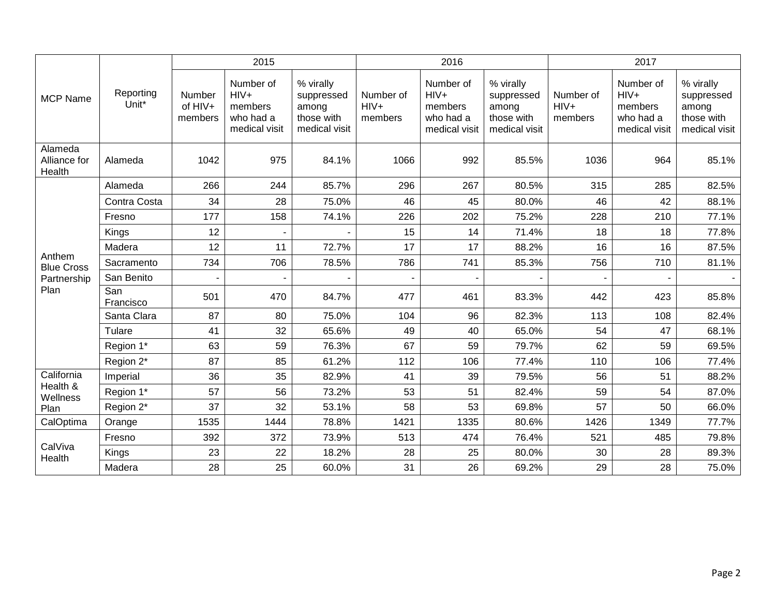|                                   | Reporting<br>Unit* | 2015                         |                                                              |                                                                 |                                | 2016                                                         |                                                                 | 2017                           |                                                              |                                                                 |
|-----------------------------------|--------------------|------------------------------|--------------------------------------------------------------|-----------------------------------------------------------------|--------------------------------|--------------------------------------------------------------|-----------------------------------------------------------------|--------------------------------|--------------------------------------------------------------|-----------------------------------------------------------------|
| <b>MCP Name</b>                   |                    | Number<br>of HIV+<br>members | Number of<br>$HIV+$<br>members<br>who had a<br>medical visit | % virally<br>suppressed<br>among<br>those with<br>medical visit | Number of<br>$HIV+$<br>members | Number of<br>$HIV+$<br>members<br>who had a<br>medical visit | % virally<br>suppressed<br>among<br>those with<br>medical visit | Number of<br>$HIV+$<br>members | Number of<br>$HIV+$<br>members<br>who had a<br>medical visit | % virally<br>suppressed<br>among<br>those with<br>medical visit |
| Alameda<br>Alliance for<br>Health | Alameda            | 1042                         | 975                                                          | 84.1%                                                           | 1066                           | 992                                                          | 85.5%                                                           | 1036                           | 964                                                          | 85.1%                                                           |
|                                   | Alameda            | 266                          | 244                                                          | 85.7%                                                           | 296                            | 267                                                          | 80.5%                                                           | 315                            | 285                                                          | 82.5%                                                           |
|                                   | Contra Costa       | 34                           | 28                                                           | 75.0%                                                           | 46                             | 45                                                           | 80.0%                                                           | 46                             | 42                                                           | 88.1%                                                           |
|                                   | Fresno             | 177                          | 158                                                          | 74.1%                                                           | 226                            | 202                                                          | 75.2%                                                           | 228                            | 210                                                          | 77.1%                                                           |
| Anthem<br><b>Blue Cross</b>       | Kings              | 12                           |                                                              |                                                                 | 15                             | 14                                                           | 71.4%                                                           | 18                             | 18                                                           | 77.8%                                                           |
|                                   | Madera             | 12                           | 11                                                           | 72.7%                                                           | 17                             | 17                                                           | 88.2%                                                           | 16                             | 16                                                           | 87.5%                                                           |
|                                   | Sacramento         | 734                          | 706                                                          | 78.5%                                                           | 786                            | 741                                                          | 85.3%                                                           | 756                            | 710                                                          | 81.1%                                                           |
| Partnership                       | San Benito         |                              |                                                              |                                                                 |                                |                                                              |                                                                 |                                |                                                              |                                                                 |
| Plan                              | San<br>Francisco   | 501                          | 470                                                          | 84.7%                                                           | 477                            | 461                                                          | 83.3%                                                           | 442                            | 423                                                          | 85.8%                                                           |
|                                   | Santa Clara        | 87                           | 80                                                           | 75.0%                                                           | 104                            | 96                                                           | 82.3%                                                           | 113                            | 108                                                          | 82.4%                                                           |
|                                   | Tulare             | 41                           | 32                                                           | 65.6%                                                           | 49                             | 40                                                           | 65.0%                                                           | 54                             | 47                                                           | 68.1%                                                           |
|                                   | Region 1*          | 63                           | 59                                                           | 76.3%                                                           | 67                             | 59                                                           | 79.7%                                                           | 62                             | 59                                                           | 69.5%                                                           |
|                                   | Region 2*          | 87                           | 85                                                           | 61.2%                                                           | 112                            | 106                                                          | 77.4%                                                           | 110                            | 106                                                          | 77.4%                                                           |
| California                        | Imperial           | 36                           | 35                                                           | 82.9%                                                           | 41                             | 39                                                           | 79.5%                                                           | 56                             | 51                                                           | 88.2%                                                           |
| Health &<br>Wellness<br>Plan      | Region 1*          | 57                           | 56                                                           | 73.2%                                                           | 53                             | 51                                                           | 82.4%                                                           | 59                             | 54                                                           | 87.0%                                                           |
|                                   | Region 2*          | 37                           | 32                                                           | 53.1%                                                           | 58                             | 53                                                           | 69.8%                                                           | 57                             | 50                                                           | 66.0%                                                           |
| CalOptima                         | Orange             | 1535                         | 1444                                                         | 78.8%                                                           | 1421                           | 1335                                                         | 80.6%                                                           | 1426                           | 1349                                                         | 77.7%                                                           |
|                                   | Fresno             | 392                          | 372                                                          | 73.9%                                                           | 513                            | 474                                                          | 76.4%                                                           | 521                            | 485                                                          | 79.8%                                                           |
| CalViva<br>Health                 | Kings              | 23                           | 22                                                           | 18.2%                                                           | 28                             | 25                                                           | 80.0%                                                           | 30                             | 28                                                           | 89.3%                                                           |
|                                   | Madera             | 28                           | 25                                                           | 60.0%                                                           | 31                             | 26                                                           | 69.2%                                                           | 29                             | 28                                                           | 75.0%                                                           |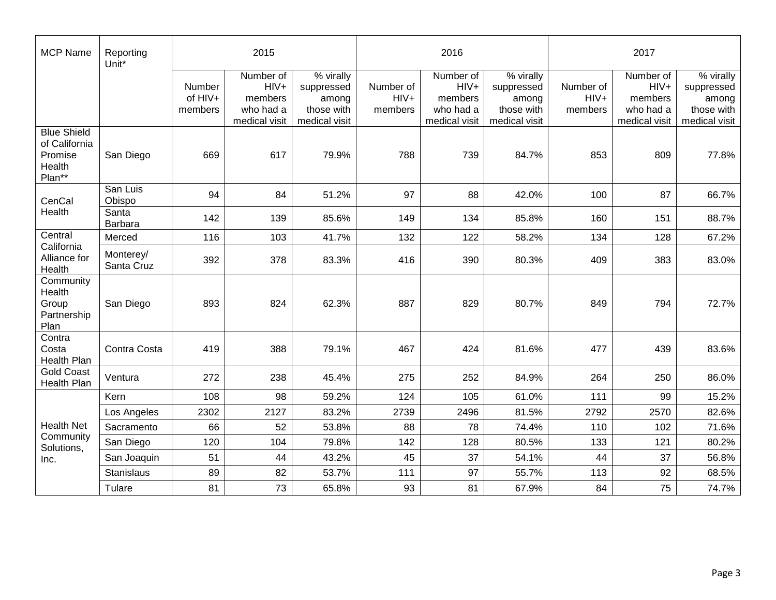| <b>MCP Name</b>                                                    | Reporting<br>Unit*      | 2015                         |                                                              |                                                                 |                                | 2016                                                         |                                                                 | 2017                           |                                                              |                                                                 |
|--------------------------------------------------------------------|-------------------------|------------------------------|--------------------------------------------------------------|-----------------------------------------------------------------|--------------------------------|--------------------------------------------------------------|-----------------------------------------------------------------|--------------------------------|--------------------------------------------------------------|-----------------------------------------------------------------|
|                                                                    |                         | Number<br>of HIV+<br>members | Number of<br>$HIV+$<br>members<br>who had a<br>medical visit | % virally<br>suppressed<br>among<br>those with<br>medical visit | Number of<br>$HIV+$<br>members | Number of<br>$HIV+$<br>members<br>who had a<br>medical visit | % virally<br>suppressed<br>among<br>those with<br>medical visit | Number of<br>$HIV+$<br>members | Number of<br>$HIV+$<br>members<br>who had a<br>medical visit | % virally<br>suppressed<br>among<br>those with<br>medical visit |
| <b>Blue Shield</b><br>of California<br>Promise<br>Health<br>Plan** | San Diego               | 669                          | 617                                                          | 79.9%                                                           | 788                            | 739                                                          | 84.7%                                                           | 853                            | 809                                                          | 77.8%                                                           |
| CenCal<br>Health                                                   | San Luis<br>Obispo      | 94                           | 84                                                           | 51.2%                                                           | 97                             | 88                                                           | 42.0%                                                           | 100                            | 87                                                           | 66.7%                                                           |
|                                                                    | Santa<br>Barbara        | 142                          | 139                                                          | 85.6%                                                           | 149                            | 134                                                          | 85.8%                                                           | 160                            | 151                                                          | 88.7%                                                           |
| Central<br>California<br>Alliance for<br>Health                    | Merced                  | 116                          | 103                                                          | 41.7%                                                           | 132                            | 122                                                          | 58.2%                                                           | 134                            | 128                                                          | 67.2%                                                           |
|                                                                    | Monterey/<br>Santa Cruz | 392                          | 378                                                          | 83.3%                                                           | 416                            | 390                                                          | 80.3%                                                           | 409                            | 383                                                          | 83.0%                                                           |
| Community<br>Health<br>Group<br>Partnership<br>Plan                | San Diego               | 893                          | 824                                                          | 62.3%                                                           | 887                            | 829                                                          | 80.7%                                                           | 849                            | 794                                                          | 72.7%                                                           |
| Contra<br>Costa<br>Health Plan                                     | Contra Costa            | 419                          | 388                                                          | 79.1%                                                           | 467                            | 424                                                          | 81.6%                                                           | 477                            | 439                                                          | 83.6%                                                           |
| <b>Gold Coast</b><br>Health Plan                                   | Ventura                 | 272                          | 238                                                          | 45.4%                                                           | 275                            | 252                                                          | 84.9%                                                           | 264                            | 250                                                          | 86.0%                                                           |
|                                                                    | Kern                    | 108                          | 98                                                           | 59.2%                                                           | 124                            | 105                                                          | 61.0%                                                           | 111                            | 99                                                           | 15.2%                                                           |
| <b>Health Net</b><br>Community<br>Solutions,                       | Los Angeles             | 2302                         | 2127                                                         | 83.2%                                                           | 2739                           | 2496                                                         | 81.5%                                                           | 2792                           | 2570                                                         | 82.6%                                                           |
|                                                                    | Sacramento              | 66                           | 52                                                           | 53.8%                                                           | 88                             | 78                                                           | 74.4%                                                           | 110                            | 102                                                          | 71.6%                                                           |
|                                                                    | San Diego               | 120                          | 104                                                          | 79.8%                                                           | 142                            | 128                                                          | 80.5%                                                           | 133                            | 121                                                          | 80.2%                                                           |
| Inc.                                                               | San Joaquin             | 51                           | 44                                                           | 43.2%                                                           | 45                             | 37                                                           | 54.1%                                                           | 44                             | 37                                                           | 56.8%                                                           |
|                                                                    | Stanislaus              | 89                           | 82                                                           | 53.7%                                                           | 111                            | 97                                                           | 55.7%                                                           | 113                            | 92                                                           | 68.5%                                                           |
|                                                                    | Tulare                  | 81                           | 73                                                           | 65.8%                                                           | 93                             | 81                                                           | 67.9%                                                           | 84                             | 75                                                           | 74.7%                                                           |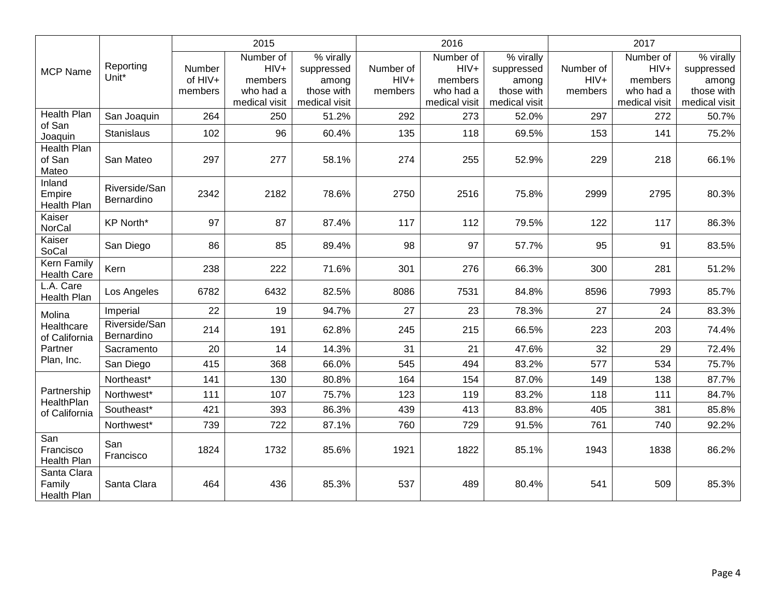|                                         |                             | 2015                         |                                                              |                                                                 |                                | 2016                                                         |                                                                 | 2017                           |                                                              |                                                                 |
|-----------------------------------------|-----------------------------|------------------------------|--------------------------------------------------------------|-----------------------------------------------------------------|--------------------------------|--------------------------------------------------------------|-----------------------------------------------------------------|--------------------------------|--------------------------------------------------------------|-----------------------------------------------------------------|
| <b>MCP Name</b>                         | Reporting<br>Unit*          | Number<br>of HIV+<br>members | Number of<br>$HIV+$<br>members<br>who had a<br>medical visit | % virally<br>suppressed<br>among<br>those with<br>medical visit | Number of<br>$HIV+$<br>members | Number of<br>$HIV+$<br>members<br>who had a<br>medical visit | % virally<br>suppressed<br>among<br>those with<br>medical visit | Number of<br>$HIV+$<br>members | Number of<br>$HIV+$<br>members<br>who had a<br>medical visit | % virally<br>suppressed<br>among<br>those with<br>medical visit |
| <b>Health Plan</b><br>of San<br>Joaquin | San Joaquin                 | 264                          | 250                                                          | 51.2%                                                           | 292                            | 273                                                          | 52.0%                                                           | 297                            | 272                                                          | 50.7%                                                           |
|                                         | Stanislaus                  | 102                          | 96                                                           | 60.4%                                                           | 135                            | 118                                                          | 69.5%                                                           | 153                            | 141                                                          | 75.2%                                                           |
| <b>Health Plan</b><br>of San<br>Mateo   | San Mateo                   | 297                          | 277                                                          | 58.1%                                                           | 274                            | 255                                                          | 52.9%                                                           | 229                            | 218                                                          | 66.1%                                                           |
| Inland<br>Empire<br><b>Health Plan</b>  | Riverside/San<br>Bernardino | 2342                         | 2182                                                         | 78.6%                                                           | 2750                           | 2516                                                         | 75.8%                                                           | 2999                           | 2795                                                         | 80.3%                                                           |
| Kaiser<br><b>NorCal</b>                 | <b>KP North*</b>            | 97                           | 87                                                           | 87.4%                                                           | 117                            | 112                                                          | 79.5%                                                           | 122                            | 117                                                          | 86.3%                                                           |
| Kaiser<br>SoCal                         | San Diego                   | 86                           | 85                                                           | 89.4%                                                           | 98                             | 97                                                           | 57.7%                                                           | 95                             | 91                                                           | 83.5%                                                           |
| Kern Family<br><b>Health Care</b>       | Kern                        | 238                          | 222                                                          | 71.6%                                                           | 301                            | 276                                                          | 66.3%                                                           | 300                            | 281                                                          | 51.2%                                                           |
| L.A. Care<br>Health Plan                | Los Angeles                 | 6782                         | 6432                                                         | 82.5%                                                           | 8086                           | 7531                                                         | 84.8%                                                           | 8596                           | 7993                                                         | 85.7%                                                           |
| Molina                                  | Imperial                    | 22                           | 19                                                           | 94.7%                                                           | 27                             | 23                                                           | 78.3%                                                           | 27                             | 24                                                           | 83.3%                                                           |
| Healthcare<br>of California             | Riverside/San<br>Bernardino | 214                          | 191                                                          | 62.8%                                                           | 245                            | 215                                                          | 66.5%                                                           | 223                            | 203                                                          | 74.4%                                                           |
| Partner                                 | Sacramento                  | 20                           | 14                                                           | 14.3%                                                           | 31                             | 21                                                           | 47.6%                                                           | 32                             | 29                                                           | 72.4%                                                           |
| Plan, Inc.                              | San Diego                   | 415                          | 368                                                          | 66.0%                                                           | 545                            | 494                                                          | 83.2%                                                           | 577                            | 534                                                          | 75.7%                                                           |
|                                         | Northeast*                  | 141                          | 130                                                          | 80.8%                                                           | 164                            | 154                                                          | 87.0%                                                           | 149                            | 138                                                          | 87.7%                                                           |
| Partnership                             | Northwest*                  | 111                          | 107                                                          | 75.7%                                                           | 123                            | 119                                                          | 83.2%                                                           | 118                            | 111                                                          | 84.7%                                                           |
| HealthPlan<br>of California             | Southeast*                  | 421                          | 393                                                          | 86.3%                                                           | 439                            | 413                                                          | 83.8%                                                           | 405                            | 381                                                          | 85.8%                                                           |
|                                         | Northwest*                  | 739                          | 722                                                          | 87.1%                                                           | 760                            | 729                                                          | 91.5%                                                           | 761                            | 740                                                          | 92.2%                                                           |
| San<br>Francisco<br>Health Plan         | San<br>Francisco            | 1824                         | 1732                                                         | 85.6%                                                           | 1921                           | 1822                                                         | 85.1%                                                           | 1943                           | 1838                                                         | 86.2%                                                           |
| Santa Clara<br>Family<br>Health Plan    | Santa Clara                 | 464                          | 436                                                          | 85.3%                                                           | 537                            | 489                                                          | 80.4%                                                           | 541                            | 509                                                          | 85.3%                                                           |